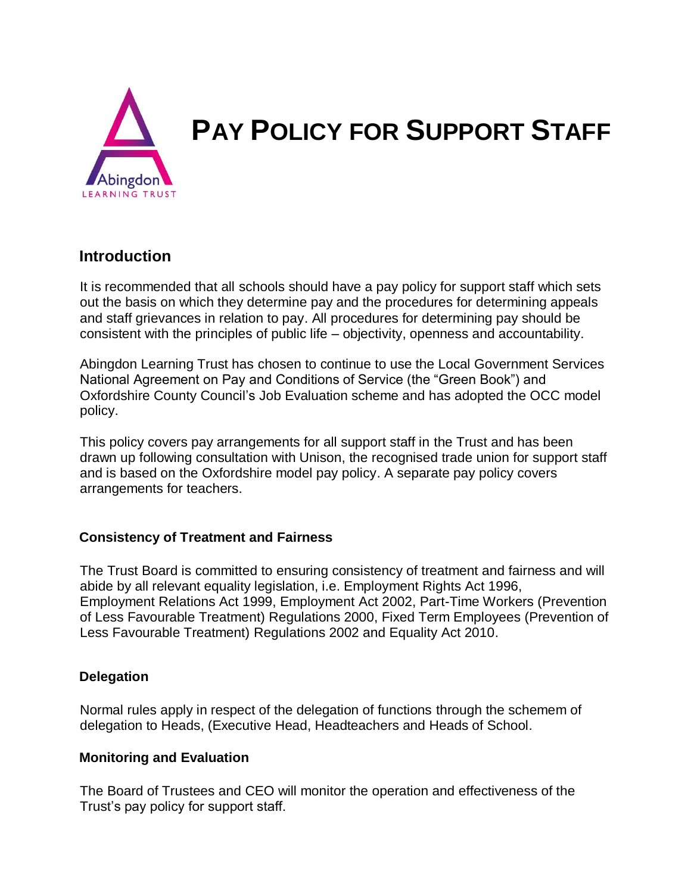

### **Introduction**

It is recommended that all schools should have a pay policy for support staff which sets out the basis on which they determine pay and the procedures for determining appeals and staff grievances in relation to pay. All procedures for determining pay should be consistent with the principles of public life – objectivity, openness and accountability.

Abingdon Learning Trust has chosen to continue to use the Local Government Services National Agreement on Pay and Conditions of Service (the "Green Book") and Oxfordshire County Council's Job Evaluation scheme and has adopted the OCC model policy.

This policy covers pay arrangements for all support staff in the Trust and has been drawn up following consultation with Unison, the recognised trade union for support staff and is based on the Oxfordshire model pay policy. A separate pay policy covers arrangements for teachers.

#### **Consistency of Treatment and Fairness**

The Trust Board is committed to ensuring consistency of treatment and fairness and will abide by all relevant equality legislation, i.e. Employment Rights Act 1996, Employment Relations Act 1999, Employment Act 2002, Part-Time Workers (Prevention of Less Favourable Treatment) Regulations 2000, Fixed Term Employees (Prevention of Less Favourable Treatment) Regulations 2002 and Equality Act 2010.

#### **Delegation**

Normal rules apply in respect of the delegation of functions through the schemem of delegation to Heads, (Executive Head, Headteachers and Heads of School.

#### **Monitoring and Evaluation**

The Board of Trustees and CEO will monitor the operation and effectiveness of the Trust's pay policy for support staff.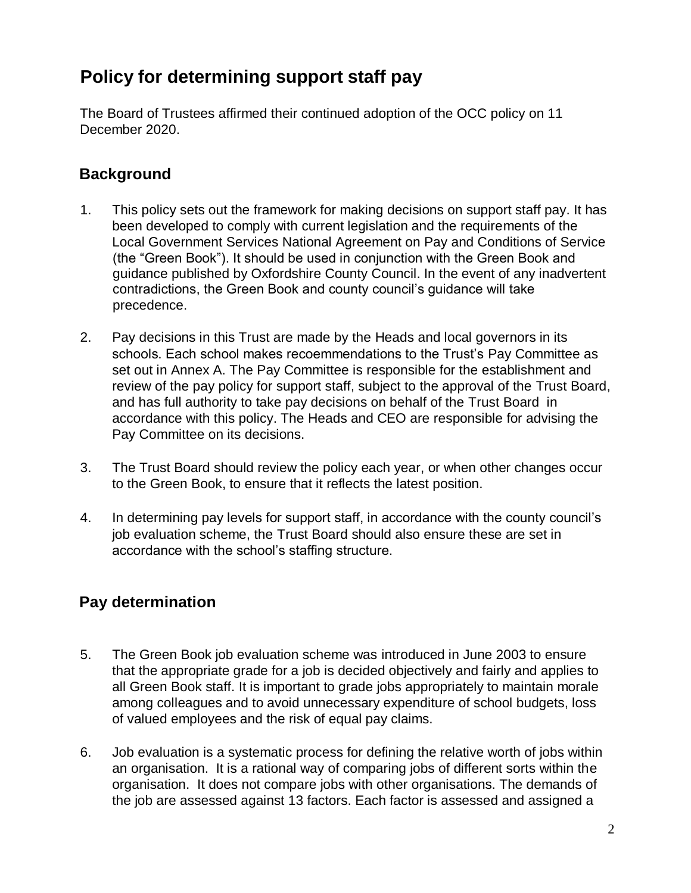# **Policy for determining support staff pay**

The Board of Trustees affirmed their continued adoption of the OCC policy on 11 December 2020.

### **Background**

- 1. This policy sets out the framework for making decisions on support staff pay. It has been developed to comply with current legislation and the requirements of the Local Government Services National Agreement on Pay and Conditions of Service (the "Green Book"). It should be used in conjunction with the Green Book and guidance published by Oxfordshire County Council. In the event of any inadvertent contradictions, the Green Book and county council's guidance will take precedence.
- 2. Pay decisions in this Trust are made by the Heads and local governors in its schools. Each school makes recoemmendations to the Trust's Pay Committee as set out in Annex A. The Pay Committee is responsible for the establishment and review of the pay policy for support staff, subject to the approval of the Trust Board, and has full authority to take pay decisions on behalf of the Trust Board in accordance with this policy. The Heads and CEO are responsible for advising the Pay Committee on its decisions.
- 3. The Trust Board should review the policy each year, or when other changes occur to the Green Book, to ensure that it reflects the latest position.
- 4. In determining pay levels for support staff, in accordance with the county council's job evaluation scheme, the Trust Board should also ensure these are set in accordance with the school's staffing structure.

# **Pay determination**

- 5. The Green Book job evaluation scheme was introduced in June 2003 to ensure that the appropriate grade for a job is decided objectively and fairly and applies to all Green Book staff. It is important to grade jobs appropriately to maintain morale among colleagues and to avoid unnecessary expenditure of school budgets, loss of valued employees and the risk of equal pay claims.
- 6. Job evaluation is a systematic process for defining the relative worth of jobs within an organisation. It is a rational way of comparing jobs of different sorts within the organisation. It does not compare jobs with other organisations. The demands of the job are assessed against 13 factors. Each factor is assessed and assigned a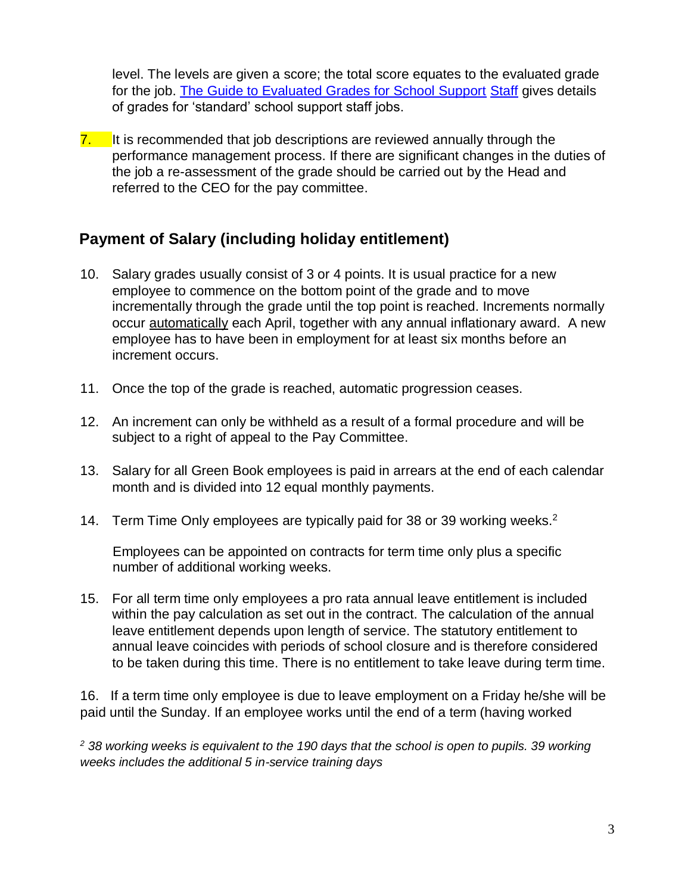level. The levels are given a score; the total score equates to the evaluated grade for the job. [The Guide to Evaluated Grades for School Support](http://schools.oxfordshire.gov.uk/cms/sites/schools/files/folders/folders/documents/HR/jobevaluation/GuidetoEvaluatedGradesforSchoolSupportStaffJobs.pdf) [Staff](http://schools.oxfordshire.gov.uk/cms/sites/schools/files/folders/folders/documents/HR/jobevaluation/GuidetoEvaluatedGradesforSchoolSupportStaffJobs.pdf) gives details of grades for 'standard' school support staff jobs.

 $\overline{7}$ . It is recommended that job descriptions are reviewed annually through the performance management process. If there are significant changes in the duties of the job a re-assessment of the grade should be carried out by the Head and referred to the CEO for the pay committee.

### **Payment of Salary (including holiday entitlement)**

- 10. Salary grade[s](http://schools.oxfordshire.gov.uk/cms/node/697) usually consist of 3 or 4 points. It is usual practice for a new employee to commence on the bottom point of the grade and to move incrementally through the grade until the top point is reached. Increments normally occur automatically each April, together with any annual inflationary award. A new employee has to have been in employment for at least six months before an increment occurs.
- 11. Once the top of the grade is reached, automatic progression ceases.
- 12. An increment can only be withheld as a result of a formal procedure and will be subject to a right of appeal to the Pay Committee.
- 13. Salary for all Green Book employees is paid in arrears at the end of each calendar month and is divided into 12 equal monthly payments.
- 14. [Term Time Only employees](http://portal.oxfordshire.gov.uk/content/public/LandC/Resources/HumanResources/holidayentitlementschoolsupportstaff%28October2013%29.pdf) are typically paid for 38 or 39 working weeks.<sup>2</sup>

Employees can be appointed on contracts for term time only plus a specific number of additional working weeks.

15. For all term time only employees a pro rata annual leave entitlement is included within the pay calculation as set out in the contract. The calculation of the annual leave entitlement depends upon length of service. The statutory entitlement to annual leave coincides with periods of school closure and is therefore considered to be taken during this time. There is no entitlement to take leave during term time.

16. If a term time only employee is due to leave employment on a Friday he/she will be paid until the Sunday. If an employee works until the end of a term (having worked

*<sup>2</sup> 38 working weeks is equivalent to the 190 days that the school is open to pupils. 39 working weeks includes the additional 5 in-service training days*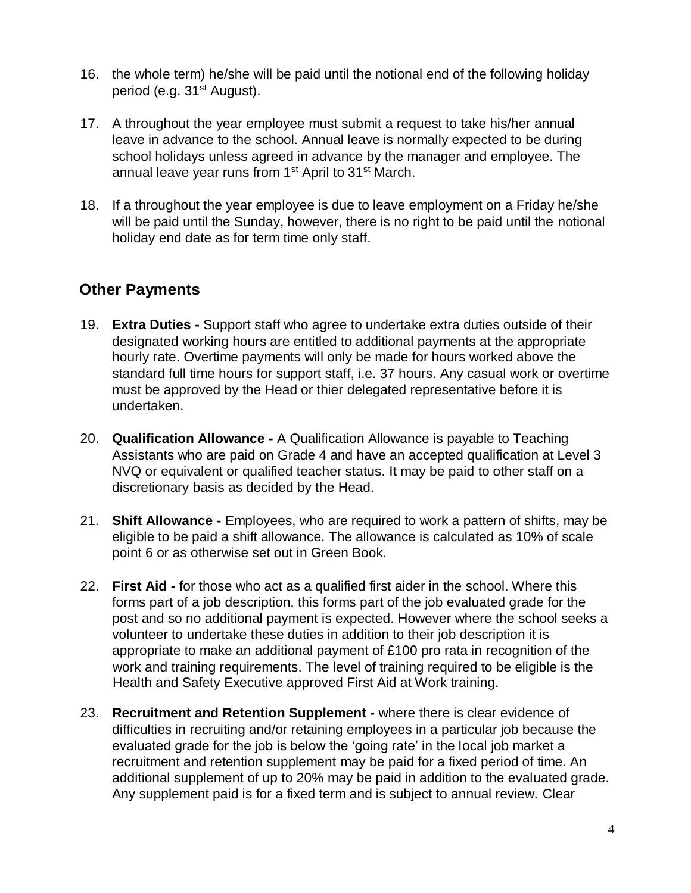- 16. the whole term) he/she will be paid until the notional end of the following holiday period (e.g.  $31<sup>st</sup>$  August).
- 17. A [throughout the year employee](http://portal.oxfordshire.gov.uk/content/public/LandC/Resources/HumanResources/holidayentitlementschoolsupportstaff%28October2013%29.pdf) [m](http://portal.oxfordshire.gov.uk/content/public/LandC/Resources/HumanResources/holidayentitlementschoolsupportstaff%28October2013%29.pdf)ust submit a request to take his/her annual leave in advance to the school. Annual leave is normally expected to be during school holidays unless agreed in advance by the manager and employee. The annual leave year runs from 1<sup>st</sup> April to 31<sup>st</sup> March.
- 18. If a throughout the year employee is due to leave employment on a Friday he/she will be paid until the Sunday, however, there is no right to be paid until the notional holiday end date as for term time only staff.

### **Other Payments**

- 19. **Extra Duties -** Support staff who agree to undertake extra duties outside of their designated working hours are entitled to additional payments at the appropriate hourly rate. Overtime payments will only be made for hours worked above the standard full time hours for support staff, i.e. 37 hours. Any casual work or overtime must be approved by the Head or thier delegated representative before it is undertaken.
- 20. **Qualification Allowance -** A Qualification Allowance is payable to Teaching Assistants who are paid on Grade 4 and have an accepted qualification at Level 3 NVQ or equivalent or qualified teacher status. It may be paid to other staff on a discretionary basis as decided by the Head.
- 21. **Shift Allowance -** Employees, who are required to work a pattern of shifts, may be eligible to be paid a shift allowance. The allowance is calculated as 10% of scale point 6 or as otherwise set out in Green Book.
- 22. **First Aid -** for those who act as a qualified first aider in the school. Where this forms part of a job description, this forms part of the job evaluated grade for the post and so no additional payment is expected. However where the school seeks a volunteer to undertake these duties in addition to their job description it is appropriate to make an additional payment of £100 pro rata in recognition of the work and training requirements. The level of training required to be eligible is the Health and Safety Executive approved First Aid at Work training.
- 23. **Recruitment and Retention Supplement -** where there is clear evidence of difficulties in recruiting and/or retaining employees in a particular job because the evaluated grade for the job is below the 'going rate' in the local job market a [recruitment and retention supplement](http://portal.oxfordshire.gov.uk/content/public/LandC/Resources/HumanResources/schoolemployees/Recruitment_Retention_Supplements_Schoolsport%20Staff.pdf) [m](http://portal.oxfordshire.gov.uk/content/public/LandC/Resources/HumanResources/schoolemployees/Recruitment_Retention_Supplements_Schoolsport%20Staff.pdf)ay be paid for a fixed period of time. An additional supplement of up to 20% may be paid in addition to the evaluated grade. Any supplement paid is for a fixed term and is subject to annual review. Clear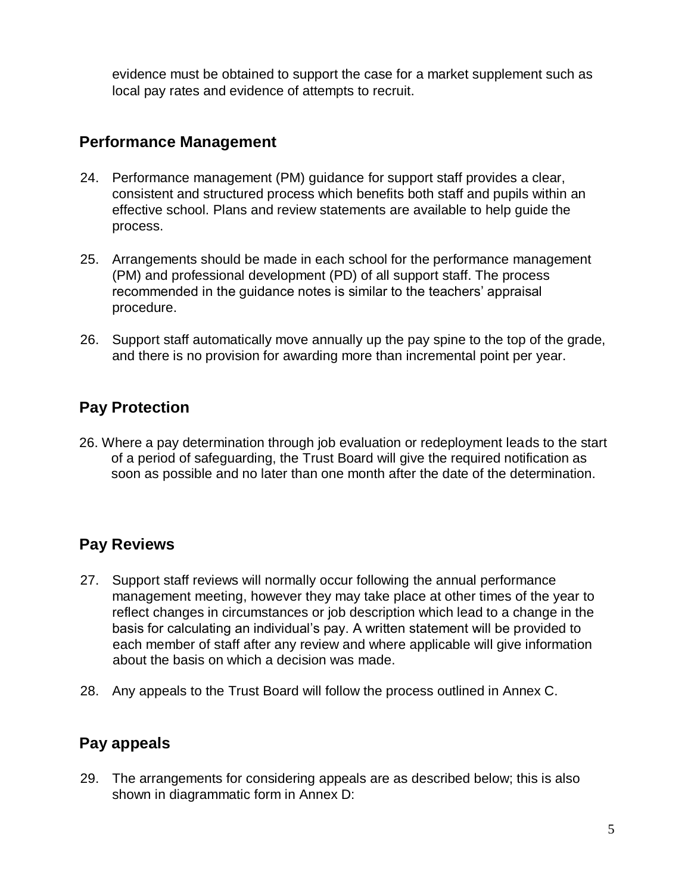evidence must be obtained to support the case for a market supplement such as local pay rates and evidence of attempts to recruit.

### **Performance Management**

- 24. [Performance management \(PM\) guidance](http://portal.oxfordshire.gov.uk/content/public/LandC/EES/pm/guidance_note_on_PMPD_for_SSS.pdf) for support staff provides a clear, consistent and structured process which benefits both staff and pupils within an effective school[.](http://portal.oxfordshire.gov.uk/content/public/LandC/EES/pm/SS_Form2_Individual_Plan.doc) [Plans](http://portal.oxfordshire.gov.uk/content/public/LandC/EES/pm/SS_Form2_Individual_Plan.doc) and [review statements](http://portal.oxfordshire.gov.uk/content/public/LandC/EES/pm/SS_Form1_Review_Statement.doc) [a](http://portal.oxfordshire.gov.uk/content/public/LandC/EES/pm/SS_Form1_Review_Statement.doc)re available to help guide the process.
- 25. Arrangements should be made in each school for the performance management (PM) and professional development (PD) of all support staff. The process recommended in the guidance notes is similar to the teachers' appraisal procedure.
- 26. Support staff automatically move annually up the pay spine to the top of the grade, and there is no provision for awarding more than incremental point per year.

# **Pay Protection**

26. Where a pay determination through job evaluation or redeployment leads to the start of a period of safeguarding, the Trust Board will give the required notification as soon as possible and no later than one month after the date of the determination.

# **Pay Reviews**

- 27. Support staff reviews will normally occur following the annual performance management meeting, however they may take place at other times of the year to reflect changes in circumstances or job description which lead to a change in the basis for calculating an individual's pay. A written statement will be provided to each member of staff after any review and where applicable will give information about the basis on which a decision was made.
- 28. Any appeals to the Trust Board will follow the process outlined in Annex C.

### **Pay appeals**

29. The arrangements for considering appeals are as described below; this is also shown in diagrammatic form in Annex D: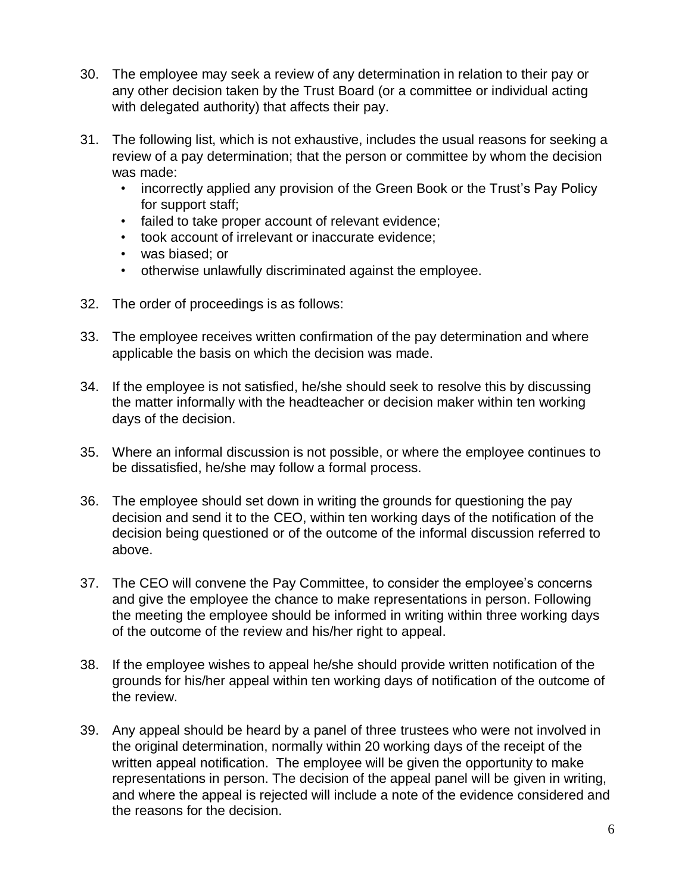- 30. The employee may seek a review of any determination in relation to their pay or any other decision taken by the Trust Board (or a committee or individual acting with delegated authority) that affects their pay.
- 31. The following list, which is not exhaustive, includes the usual reasons for seeking a review of a pay determination; that the person or committee by whom the decision was made:
	- incorrectly applied any provision of the Green Book or the Trust's Pay Policy for support staff;
	- failed to take proper account of relevant evidence;
	- took account of irrelevant or inaccurate evidence;
	- was biased; or
	- otherwise unlawfully discriminated against the employee.
- 32. The order of proceedings is as follows:
- 33. The employee receives written confirmation of the pay determination and where applicable the basis on which the decision was made.
- 34. If the employee is not satisfied, he/she should seek to resolve this by discussing the matter informally with the headteacher or decision maker within ten working days of the decision.
- 35. Where an informal discussion is not possible, or where the employee continues to be dissatisfied, he/she may follow a formal process.
- 36. The employee should set down in writing the grounds for questioning the pay decision and send it to the CEO, within ten working days of the notification of the decision being questioned or of the outcome of the informal discussion referred to above.
- 37. The CEO will convene the Pay Committee, to consider the employee's concerns and give the employee the chance to make representations in person. Following the meeting the employee should be informed in writing within three working days of the outcome of the review and his/her right to appeal.
- 38. If the employee wishes to appeal he/she should provide written notification of the grounds for his/her appeal within ten working days of notification of the outcome of the review.
- 39. Any appeal should be heard by a panel of three trustees who were not involved in the original determination, normally within 20 working days of the receipt of the written appeal notification. The employee will be given the opportunity to make representations in person. The decision of the appeal panel will be given in writing, and where the appeal is rejected will include a note of the evidence considered and the reasons for the decision.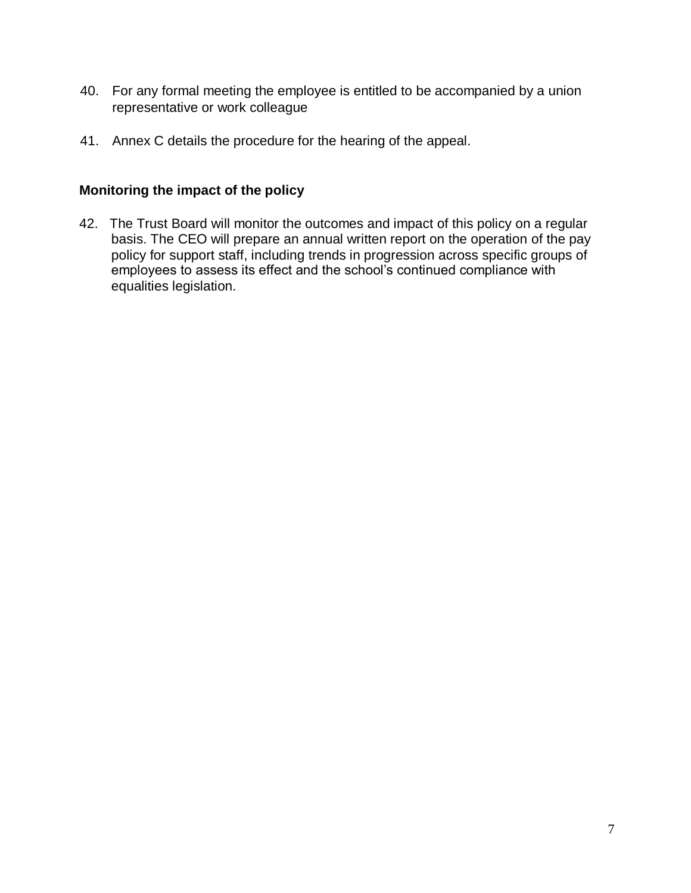- 40. For any formal meeting the employee is entitled to be accompanied by a union representative or work colleague
- 41. Annex C details the procedure for the hearing of the appeal.

#### **Monitoring the impact of the policy**

42. The Trust Board will monitor the outcomes and impact of this policy on a regular basis. The CEO will prepare an annual written report on the operation of the pay policy for support staff, including trends in progression across specific groups of employees to assess its effect and the school's continued compliance with equalities legislation.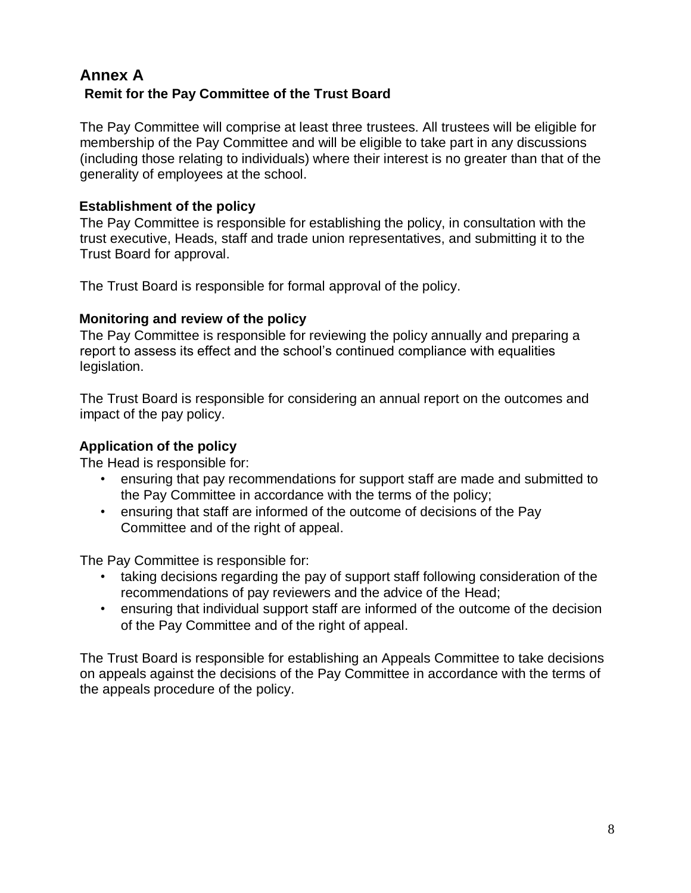### **Annex A Remit for the Pay Committee of the Trust Board**

The Pay Committee will comprise at least three trustees. All trustees will be eligible for membership of the Pay Committee and will be eligible to take part in any discussions (including those relating to individuals) where their interest is no greater than that of the generality of employees at the school.

#### **Establishment of the policy**

The Pay Committee is responsible for establishing the policy, in consultation with the trust executive, Heads, staff and trade union representatives, and submitting it to the Trust Board for approval.

The Trust Board is responsible for formal approval of the policy.

#### **Monitoring and review of the policy**

The Pay Committee is responsible for reviewing the policy annually and preparing a report to assess its effect and the school's continued compliance with equalities legislation.

The Trust Board is responsible for considering an annual report on the outcomes and impact of the pay policy.

#### **Application of the policy**

The Head is responsible for:

- ensuring that pay recommendations for support staff are made and submitted to the Pay Committee in accordance with the terms of the policy;
- ensuring that staff are informed of the outcome of decisions of the Pay Committee and of the right of appeal.

The Pay Committee is responsible for:

- taking decisions regarding the pay of support staff following consideration of the recommendations of pay reviewers and the advice of the Head;
- ensuring that individual support staff are informed of the outcome of the decision of the Pay Committee and of the right of appeal.

The Trust Board is responsible for establishing an Appeals Committee to take decisions on appeals against the decisions of the Pay Committee in accordance with the terms of the appeals procedure of the policy.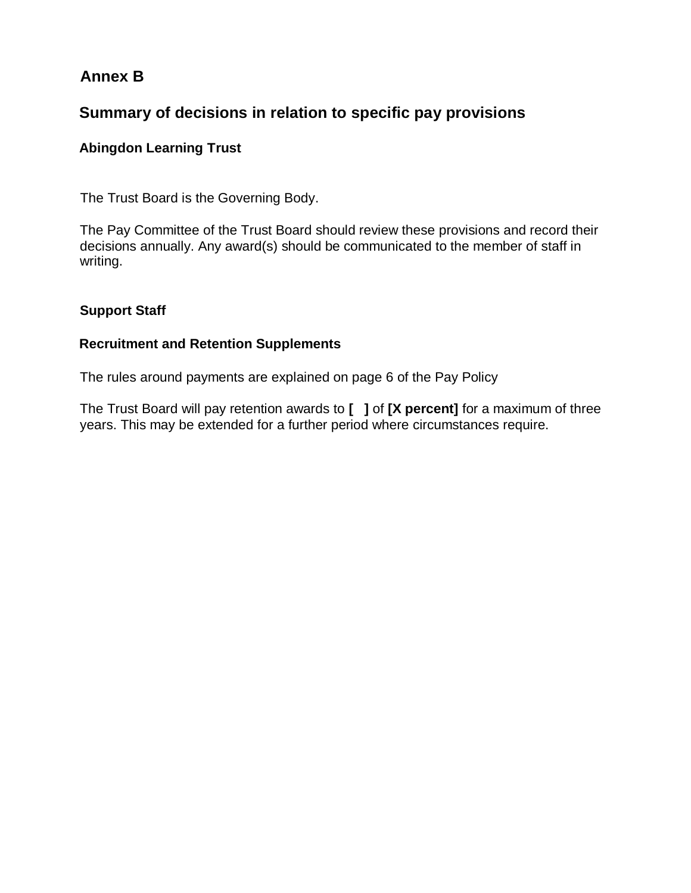### **Annex B**

### **Summary of decisions in relation to specific pay provisions**

#### **Abingdon Learning Trust**

The Trust Board is the Governing Body.

The Pay Committee of the Trust Board should review these provisions and record their decisions annually. Any award(s) should be communicated to the member of staff in writing.

#### **Support Staff**

#### **Recruitment and Retention Supplements**

The rules around payments are explained on page 6 of the Pay Policy

The Trust Board will pay retention awards to **[ ]** of **[X percent]** for a maximum of three years. This may be extended for a further period where circumstances require.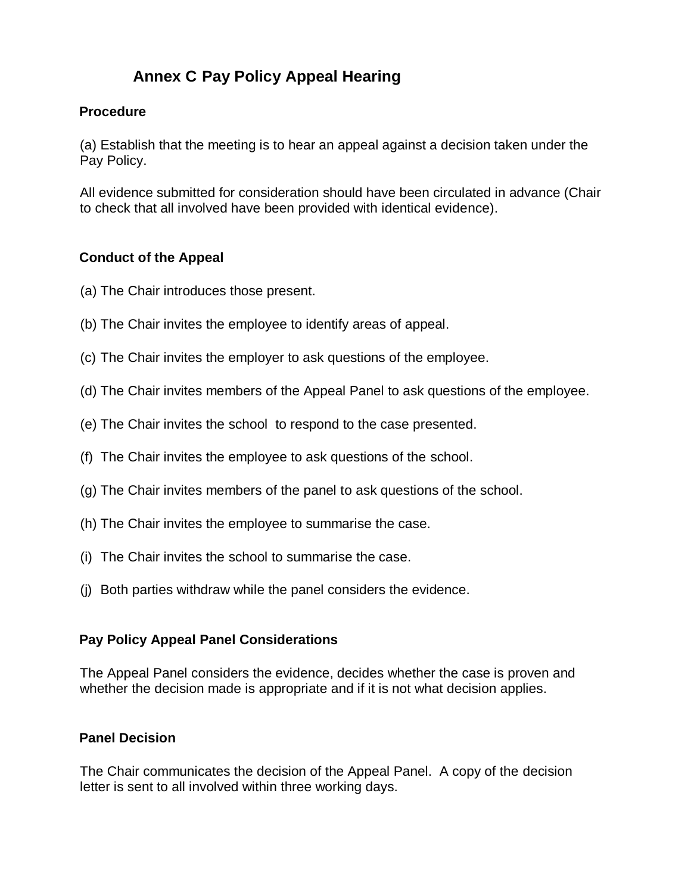## **Annex C Pay Policy Appeal Hearing**

#### **Procedure**

(a) Establish that the meeting is to hear an appeal against a decision taken under the Pay Policy.

All evidence submitted for consideration should have been circulated in advance (Chair to check that all involved have been provided with identical evidence).

#### **Conduct of the Appeal**

- (a) The Chair introduces those present.
- (b) The Chair invites the employee to identify areas of appeal.
- (c) The Chair invites the employer to ask questions of the employee.
- (d) The Chair invites members of the Appeal Panel to ask questions of the employee.
- (e) The Chair invites the school to respond to the case presented.
- (f) The Chair invites the employee to ask questions of the school.
- (g) The Chair invites members of the panel to ask questions of the school.
- (h) The Chair invites the employee to summarise the case.
- (i) The Chair invites the school to summarise the case.
- (j) Both parties withdraw while the panel considers the evidence.

#### **Pay Policy Appeal Panel Considerations**

The Appeal Panel considers the evidence, decides whether the case is proven and whether the decision made is appropriate and if it is not what decision applies.

#### **Panel Decision**

The Chair communicates the decision of the Appeal Panel. A copy of the decision letter is sent to all involved within three working days.